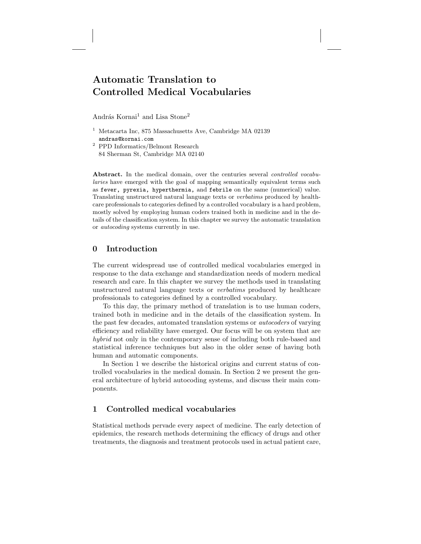# Automatic Translation to Controlled Medical Vocabularies

András Kornai<sup>1</sup> and Lisa Stone<sup>2</sup>

- <sup>1</sup> Metacarta Inc, 875 Massachusetts Ave, Cambridge MA 02139 andras@kornai.com
- <sup>2</sup> PPD Informatics/Belmont Research 84 Sherman St, Cambridge MA 02140

Abstract. In the medical domain, over the centuries several *controlled vocabu*laries have emerged with the goal of mapping semantically equivalent terms such as fever, pyrexia, hyperthermia, and febrile on the same (numerical) value. Translating unstructured natural language texts or verbatims produced by healthcare professionals to categories defined by a controlled vocabulary is a hard problem, mostly solved by employing human coders trained both in medicine and in the details of the classification system. In this chapter we survey the automatic translation or autocoding systems currently in use.

# 0 Introduction

The current widespread use of controlled medical vocabularies emerged in response to the data exchange and standardization needs of modern medical research and care. In this chapter we survey the methods used in translating unstructured natural language texts or verbatims produced by healthcare professionals to categories defined by a controlled vocabulary.

To this day, the primary method of translation is to use human coders, trained both in medicine and in the details of the classification system. In the past few decades, automated translation systems or autocoders of varying efficiency and reliability have emerged. Our focus will be on system that are hybrid not only in the contemporary sense of including both rule-based and statistical inference techniques but also in the older sense of having both human and automatic components.

In Section 1 we describe the historical origins and current status of controlled vocabularies in the medical domain. In Section 2 we present the general architecture of hybrid autocoding systems, and discuss their main components.

# 1 Controlled medical vocabularies

Statistical methods pervade every aspect of medicine. The early detection of epidemics, the research methods determining the efficacy of drugs and other treatments, the diagnosis and treatment protocols used in actual patient care,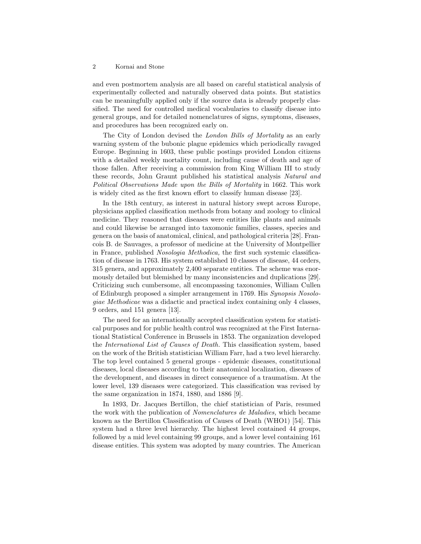and even postmortem analysis are all based on careful statistical analysis of experimentally collected and naturally observed data points. But statistics can be meaningfully applied only if the source data is already properly classified. The need for controlled medical vocabularies to classify disease into general groups, and for detailed nomenclatures of signs, symptoms, diseases, and procedures has been recognized early on.

The City of London devised the London Bills of Mortality as an early warning system of the bubonic plague epidemics which periodically ravaged Europe. Beginning in 1603, these public postings provided London citizens with a detailed weekly mortality count, including cause of death and age of those fallen. After receiving a commission from King William III to study these records, John Graunt published his statistical analysis Natural and Political Observations Made upon the Bills of Mortality in 1662. This work is widely cited as the first known effort to classify human disease [23].

In the 18th century, as interest in natural history swept across Europe, physicians applied classification methods from botany and zoology to clinical medicine. They reasoned that diseases were entities like plants and animals and could likewise be arranged into taxomonic families, classes, species and genera on the basis of anatomical, clinical, and pathological criteria [28]. Francois B. de Sauvages, a professor of medicine at the University of Montpellier in France, published Nosologia Methodica, the first such systemic classification of disease in 1763. His system established 10 classes of disease, 44 orders, 315 genera, and approximately 2,400 separate entities. The scheme was enormously detailed but blemished by many inconsistencies and duplications [29]. Criticizing such cumbersome, all encompassing taxonomies, William Cullen of Edinburgh proposed a simpler arrangement in 1769. His Synopsis Nosologiae Methodicae was a didactic and practical index containing only 4 classes, 9 orders, and 151 genera [13].

The need for an internationally accepted classification system for statistical purposes and for public health control was recognized at the First International Statistical Conference in Brussels in 1853. The organization developed the International List of Causes of Death. This classification system, based on the work of the British statistician William Farr, had a two level hierarchy. The top level contained 5 general groups - epidemic diseases, constitutional diseases, local diseases according to their anatomical localization, diseases of the development, and diseases in direct consequence of a traumatism. At the lower level, 139 diseases were categorized. This classification was revised by the same organization in 1874, 1880, and 1886 [9].

In 1893, Dr. Jacques Bertillon, the chief statistician of Paris, resumed the work with the publication of Nomenclatures de Maladies, which became known as the Bertillon Classification of Causes of Death (WHO1) [54]. This system had a three level hierarchy. The highest level contained 44 groups, followed by a mid level containing 99 groups, and a lower level containing 161 disease entities. This system was adopted by many countries. The American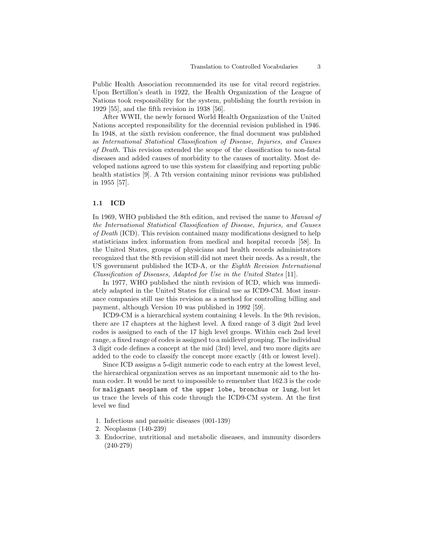Public Health Association recommended its use for vital record registries. Upon Bertillon's death in 1922, the Health Organization of the League of Nations took responsibility for the system, publishing the fourth revision in 1929 [55], and the fifth revision in 1938 [56].

After WWII, the newly formed World Health Organization of the United Nations accepted responsibility for the decennial revision published in 1946. In 1948, at the sixth revision conference, the final document was published as International Statistical Classification of Disease, Injuries, and Causes of Death. This revision extended the scope of the classification to non-fatal diseases and added causes of morbidity to the causes of mortality. Most developed nations agreed to use this system for classifying and reporting public health statistics [9]. A 7th version containing minor revisions was published in 1955 [57].

### 1.1 ICD

In 1969, WHO published the 8th edition, and revised the name to Manual of the International Statistical Classification of Disease, Injuries, and Causes of Death (ICD). This revision contained many modifications designed to help statisticians index information from medical and hospital records [58]. In the United States, groups of physicians and health records administrators recognized that the 8th revision still did not meet their needs. As a result, the US government published the ICD-A, or the Eighth Revision International Classification of Diseases, Adapted for Use in the United States [11].

In 1977, WHO published the ninth revision of ICD, which was immediately adapted in the United States for clinical use as ICD9-CM. Most insurance companies still use this revision as a method for controlling billing and payment, although Version 10 was published in 1992 [59].

ICD9-CM is a hierarchical system containing 4 levels. In the 9th revision, there are 17 chapters at the highest level. A fixed range of 3 digit 2nd level codes is assigned to each of the 17 high level groups. Within each 2nd level range, a fixed range of codes is assigned to a midlevel grouping. The individual 3 digit code defines a concept at the mid (3rd) level, and two more digits are added to the code to classify the concept more exactly (4th or lowest level).

Since ICD assigns a 5-digit numeric code to each entry at the lowest level, the hierarchical organization serves as an important mnemonic aid to the human coder. It would be next to impossible to remember that 162.3 is the code for malignant neoplasm of the upper lobe, bronchus or lung, but let us trace the levels of this code through the ICD9-CM system. At the first level we find

- 1. Infectious and parasitic diseases (001-139)
- 2. Neoplasms (140-239)
- 3. Endocrine, nutritional and metabolic diseases, and immunity disorders (240-279)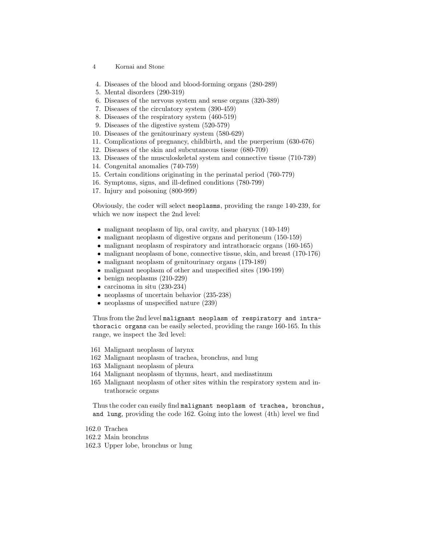- 4 Kornai and Stone
- 4. Diseases of the blood and blood-forming organs (280-289)
- 5. Mental disorders (290-319)
- 6. Diseases of the nervous system and sense organs (320-389)
- 7. Diseases of the circulatory system (390-459)
- 8. Diseases of the respiratory system (460-519)
- 9. Diseases of the digestive system (520-579)
- 10. Diseases of the genitourinary system (580-629)
- 11. Complications of pregnancy, childbirth, and the puerperium (630-676)
- 12. Diseases of the skin and subcutaneous tissue (680-709)
- 13. Diseases of the musculoskeletal system and connective tissue (710-739)
- 14. Congenital anomalies (740-759)
- 15. Certain conditions originating in the perinatal period (760-779)
- 16. Symptoms, signs, and ill-defined conditions (780-799)
- 17. Injury and poisoning (800-999)

Obviously, the coder will select neoplasms, providing the range 140-239, for which we now inspect the 2nd level:

- malignant neoplasm of lip, oral cavity, and pharynx (140-149)
- malignant neoplasm of digestive organs and peritoneum (150-159)
- malignant neoplasm of respiratory and intrathoracic organs (160-165)
- malignant neoplasm of bone, connective tissue, skin, and breast (170-176)
- malignant neoplasm of genitourinary organs (179-189)
- malignant neoplasm of other and unspecified sites (190-199)
- benign neoplasms  $(210-229)$
- carcinoma in situ (230-234)
- neoplasms of uncertain behavior  $(235-238)$
- neoplasms of unspecified nature  $(239)$

Thus from the 2nd level malignant neoplasm of respiratory and intrathoracic organs can be easily selected, providing the range 160-165. In this range, we inspect the 3rd level:

- 161 Malignant neoplasm of larynx
- 162 Malignant neoplasm of trachea, bronchus, and lung
- 163 Malignant neoplasm of pleura
- 164 Malignant neoplasm of thymus, heart, and mediastinum
- 165 Malignant neoplasm of other sites within the respiratory system and intrathoracic organs

Thus the coder can easily find malignant neoplasm of trachea, bronchus, and lung, providing the code 162. Going into the lowest (4th) level we find

- 162.0 Trachea
- 162.2 Main bronchus
- 162.3 Upper lobe, bronchus or lung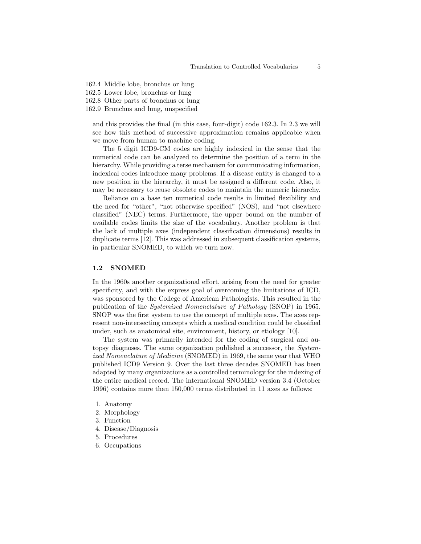- 162.4 Middle lobe, bronchus or lung
- 162.5 Lower lobe, bronchus or lung
- 162.8 Other parts of bronchus or lung
- 162.9 Bronchus and lung, unspecified

and this provides the final (in this case, four-digit) code 162.3. In 2.3 we will see how this method of successive approximation remains applicable when we move from human to machine coding.

The 5 digit ICD9-CM codes are highly indexical in the sense that the numerical code can be analyzed to determine the position of a term in the hierarchy. While providing a terse mechanism for communicating information, indexical codes introduce many problems. If a disease entity is changed to a new position in the hierarchy, it must be assigned a different code. Also, it may be necessary to reuse obsolete codes to maintain the numeric hierarchy.

Reliance on a base ten numerical code results in limited flexibility and the need for "other", "not otherwise specified" (NOS), and "not elsewhere classified" (NEC) terms. Furthermore, the upper bound on the number of available codes limits the size of the vocabulary. Another problem is that the lack of multiple axes (independent classification dimensions) results in duplicate terms [12]. This was addressed in subsequent classification systems, in particular SNOMED, to which we turn now.

### 1.2 SNOMED

In the 1960s another organizational effort, arising from the need for greater specificity, and with the express goal of overcoming the limitations of ICD, was sponsored by the College of American Pathologists. This resulted in the publication of the Systemized Nomenclature of Pathology (SNOP) in 1965. SNOP was the first system to use the concept of multiple axes. The axes represent non-intersecting concepts which a medical condition could be classified under, such as anatomical site, environment, history, or etiology [10].

The system was primarily intended for the coding of surgical and autopsy diagnoses. The same organization published a successor, the Systemized Nomenclature of Medicine (SNOMED) in 1969, the same year that WHO published ICD9 Version 9. Over the last three decades SNOMED has been adapted by many organizations as a controlled terminology for the indexing of the entire medical record. The international SNOMED version 3.4 (October 1996) contains more than 150,000 terms distributed in 11 axes as follows:

- 1. Anatomy
- 2. Morphology
- 3. Function
- 4. Disease/Diagnosis
- 5. Procedures
- 6. Occupations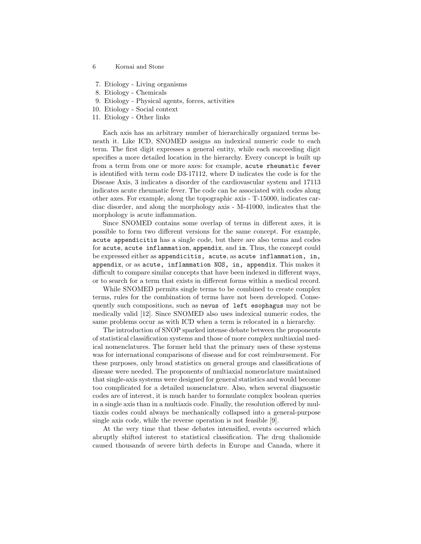- 6 Kornai and Stone
- 7. Etiology Living organisms
- 8. Etiology Chemicals
- 9. Etiology Physical agents, forces, activities
- 10. Etiology Social context
- 11. Etiology Other links

Each axis has an arbitrary number of hierarchically organized terms beneath it. Like ICD, SNOMED assigns an indexical numeric code to each term. The first digit expresses a general entity, while each succeeding digit specifies a more detailed location in the hierarchy. Every concept is built up from a term from one or more axes: for example, acute rheumatic fever is identified with term code D3-17112, where D indicates the code is for the Disease Axis, 3 indicates a disorder of the cardiovascular system and 17113 indicates acute rheumatic fever. The code can be associated with codes along other axes. For example, along the topographic axis - T-15000, indicates cardiac disorder, and along the morphology axis - M-41000, indicates that the morphology is acute inflammation.

Since SNOMED contains some overlap of terms in different axes, it is possible to form two different versions for the same concept. For example, acute appendicitis has a single code, but there are also terms and codes for acute, acute inflammation, appendix, and in. Thus, the concept could be expressed either as appendicitis, acute, as acute inflammation, in, appendix, or as acute, inflammation NOS, in, appendix. This makes it difficult to compare similar concepts that have been indexed in different ways, or to search for a term that exists in different forms within a medical record.

While SNOMED permits single terms to be combined to create complex terms, rules for the combination of terms have not been developed. Consequently such compositions, such as nevus of left esophagus may not be medically valid [12]. Since SNOMED also uses indexical numeric codes, the same problems occur as with ICD when a term is relocated in a hierarchy.

The introduction of SNOP sparked intense debate between the proponents of statistical classification systems and those of more complex multiaxial medical nomenclatures. The former held that the primary uses of these systems was for international comparisons of disease and for cost reimbursement. For these purposes, only broad statistics on general groups and classifications of disease were needed. The proponents of multiaxial nomenclature maintained that single-axis systems were designed for general statistics and would become too complicated for a detailed nomenclature. Also, when several diagnostic codes are of interest, it is much harder to formulate complex boolean queries in a single axis than in a multiaxis code. Finally, the resolution offered by multiaxis codes could always be mechanically collapsed into a general-purpose single axis code, while the reverse operation is not feasible [9].

At the very time that these debates intensified, events occurred which abruptly shifted interest to statistical classification. The drug thaliomide caused thousands of severe birth defects in Europe and Canada, where it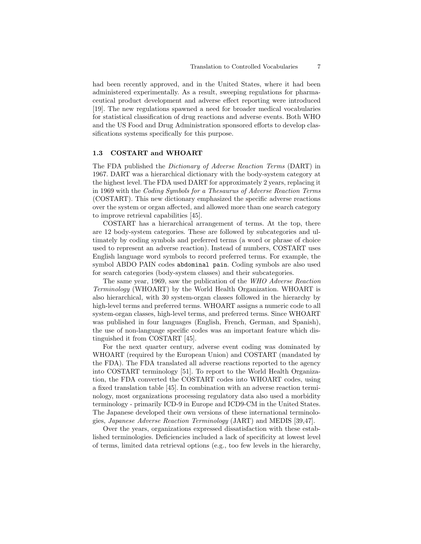had been recently approved, and in the United States, where it had been administered experimentally. As a result, sweeping regulations for pharmaceutical product development and adverse effect reporting were introduced [19]. The new regulations spawned a need for broader medical vocabularies for statistical classification of drug reactions and adverse events. Both WHO and the US Food and Drug Administration sponsored efforts to develop classifications systems specifically for this purpose.

### 1.3 COSTART and WHOART

The FDA published the Dictionary of Adverse Reaction Terms (DART) in 1967. DART was a hierarchical dictionary with the body-system category at the highest level. The FDA used DART for approximately 2 years, replacing it in 1969 with the Coding Symbols for a Thesaurus of Adverse Reaction Terms (COSTART). This new dictionary emphasized the specific adverse reactions over the system or organ affected, and allowed more than one search category to improve retrieval capabilities [45].

COSTART has a hierarchical arrangement of terms. At the top, there are 12 body-system categories. These are followed by subcategories and ultimately by coding symbols and preferred terms (a word or phrase of choice used to represent an adverse reaction). Instead of numbers, COSTART uses English language word symbols to record preferred terms. For example, the symbol ABDO PAIN codes abdominal pain. Coding symbols are also used for search categories (body-system classes) and their subcategories.

The same year, 1969, saw the publication of the WHO Adverse Reaction Terminology (WHOART) by the World Health Organization. WHOART is also hierarchical, with 30 system-organ classes followed in the hierarchy by high-level terms and preferred terms. WHOART assigns a numeric code to all system-organ classes, high-level terms, and preferred terms. Since WHOART was published in four languages (English, French, German, and Spanish), the use of non-language specific codes was an important feature which distinguished it from COSTART [45].

For the next quarter century, adverse event coding was dominated by WHOART (required by the European Union) and COSTART (mandated by the FDA). The FDA translated all adverse reactions reported to the agency into COSTART terminology [51]. To report to the World Health Organization, the FDA converted the COSTART codes into WHOART codes, using a fixed translation table [45]. In combination with an adverse reaction terminology, most organizations processing regulatory data also used a morbidity terminology - primarily ICD-9 in Europe and ICD9-CM in the United States. The Japanese developed their own versions of these international terminologies, Japanese Adverse Reaction Terminology (JART) and MEDIS [39,47].

Over the years, organizations expressed dissatisfaction with these established terminologies. Deficiencies included a lack of specificity at lowest level of terms, limited data retrieval options (e.g., too few levels in the hierarchy,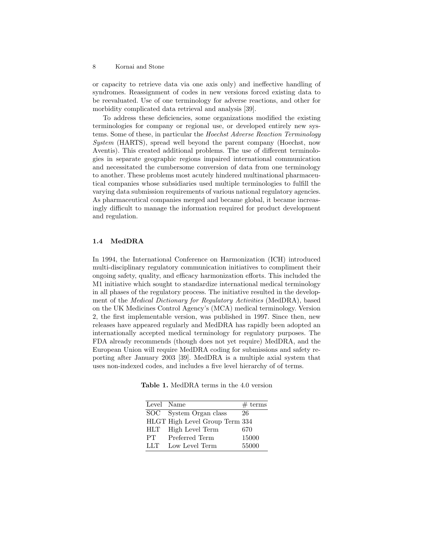or capacity to retrieve data via one axis only) and ineffective handling of syndromes. Reassignment of codes in new versions forced existing data to be reevaluated. Use of one terminology for adverse reactions, and other for morbidity complicated data retrieval and analysis [39].

To address these deficiencies, some organizations modified the existing terminologies for company or regional use, or developed entirely new systems. Some of these, in particular the Hoechst Adverse Reaction Terminology System (HARTS), spread well beyond the parent company (Hoechst, now Aventis). This created additional problems. The use of different terminologies in separate geographic regions impaired international communication and necessitated the cumbersome conversion of data from one terminology to another. These problems most acutely hindered multinational pharmaceutical companies whose subsidiaries used multiple terminologies to fulfill the varying data submission requirements of various national regulatory agencies. As pharmaceutical companies merged and became global, it became increasingly difficult to manage the information required for product development and regulation.

### 1.4 MedDRA

In 1994, the International Conference on Harmonization (ICH) introduced multi-disciplinary regulatory communication initiatives to compliment their ongoing safety, quality, and efficacy harmonization efforts. This included the M1 initiative which sought to standardize international medical terminology in all phases of the regulatory process. The initiative resulted in the development of the Medical Dictionary for Regulatory Activities (MedDRA), based on the UK Medicines Control Agency's (MCA) medical terminology. Version 2, the first implementable version, was published in 1997. Since then, new releases have appeared regularly and MedDRA has rapidly been adopted an internationally accepted medical terminology for regulatory purposes. The FDA already recommends (though does not yet require) MedDRA, and the European Union will require MedDRA coding for submissions and safety reporting after January 2003 [39]. MedDRA is a multiple axial system that uses non-indexed codes, and includes a five level hierarchy of of terms.

Table 1. MedDRA terms in the 4.0 version

| Level Name |                                | # terms |
|------------|--------------------------------|---------|
| SOC        | System Organ class             | 26      |
|            | HLGT High Level Group Term 334 |         |
| HLT        | High Level Term                | 670     |
| PТ         | Preferred Term                 | 15000   |
| LLT        | Low Level Term                 | 55000   |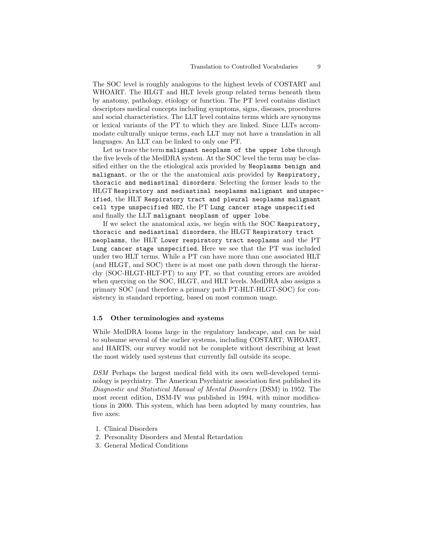The SOC level is roughly analogous to the highest levels of COSTART and WHOART. The HLGT and HLT levels group related terms beneath them by anatomy, pathology, etiology or function. The PT level contains distinct descriptors medical concepts including symptoms, signs, diseases, procedures and social characteristics. The LLT level contains terms which are synonyms or lexical variants of the PT to which they are linked. Since LLTs accommodate culturally unique terms, each LLT may not have a translation in all languages. An LLT can be linked to only one PT.

Let us trace the term malignant neoplasm of the upper lobe through the five levels of the MedDRA system. At the SOC level the term may be classified either on the the etiological axis provided by Neoplasms benign and malignant, or the or the the anatomical axis provided by Respiratory, thoracic and mediastinal disorders. Selecting the former leads to the HLGT Respiratory and mediastinal neoplasms malignant and unspecified, the HLT Respiratory tract and pleural neoplasms malignant cell type unspecified NEC, the PT Lung cancer stage unspecified and finally the LLT malignant neoplasm of upper lobe.

If we select the anatomical axis, we begin with the SOC Respiratory, thoracic and mediastinal disorders, the HLGT Respiratory tract neoplasms, the HLT Lower respiratory tract neoplasms and the PT Lung cancer stage unspecified. Here we see that the PT was included under two HLT terms. While a PT can have more than one associated HLT (and HLGT, and SOC) there is at most one path down through the hierarchy (SOC-HLGT-HLT-PT) to any PT, so that counting errors are avoided when querying on the SOC, HLGT, and HLT levels. MedDRA also assigns a primary SOC (and therefore a primary path PT-HLT-HLGT-SOC) for consistency in standard reporting, based on most common usage.

#### 1.5 Other terminologies and systems

While MedDRA looms large in the regulatory landscape, and can be said to subsume several of the earlier systems, including COSTART, WHOART, and HARTS, our survey would not be complete without describing at least the most widely used systems that currently fall outside its scope.

DSM Perhaps the largest medical field with its own well-developed terminology is psychiatry. The American Psychiatric association first published its Diagnostic and Statistical Manual of Mental Disorders (DSM) in 1952. The most recent edition, DSM-IV was published in 1994, with minor modifications in 2000. This system, which has been adopted by many countries, has five axes:

- 1. Clinical Disorders
- 2. Personality Disorders and Mental Retardation
- 3. General Medical Conditions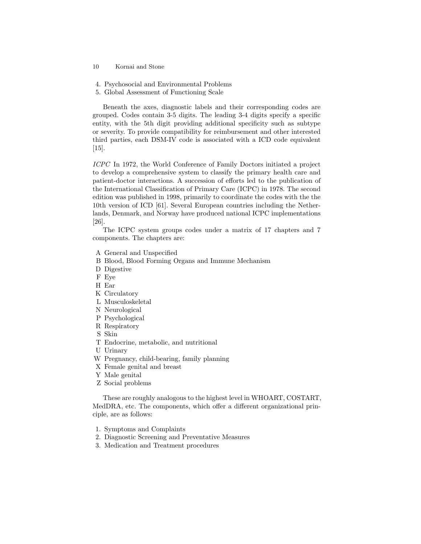- 10 Kornai and Stone
- 4. Psychosocial and Environmental Problems
- 5. Global Assessment of Functioning Scale

Beneath the axes, diagnostic labels and their corresponding codes are grouped. Codes contain 3-5 digits. The leading 3-4 digits specify a specific entity, with the 5th digit providing additional specificity such as subtype or severity. To provide compatibility for reimbursement and other interested third parties, each DSM-IV code is associated with a ICD code equivalent [15].

ICPC In 1972, the World Conference of Family Doctors initiated a project to develop a comprehensive system to classify the primary health care and patient-doctor interactions. A succession of efforts led to the publication of the International Classification of Primary Care (ICPC) in 1978. The second edition was published in 1998, primarily to coordinate the codes with the the 10th version of ICD [61]. Several European countries including the Netherlands, Denmark, and Norway have produced national ICPC implementations [26].

The ICPC system groups codes under a matrix of 17 chapters and 7 components. The chapters are:

- A General and Unspecified
- B Blood, Blood Forming Organs and Immune Mechanism
- D Digestive
- F Eye
- H Ear
- K Circulatory
- L Musculoskeletal
- N Neurological
- P Psychological
- R Respiratory
- S Skin
- T Endocrine, metabolic, and nutritional
- U Urinary
- W Pregnancy, child-bearing, family planning
- X Female genital and breast
- Y Male genital
- Z Social problems

These are roughly analogous to the highest level in WHOART, COSTART, MedDRA, etc. The components, which offer a different organizational principle, are as follows:

- 1. Symptoms and Complaints
- 2. Diagnostic Screening and Preventative Measures
- 3. Medication and Treatment procedures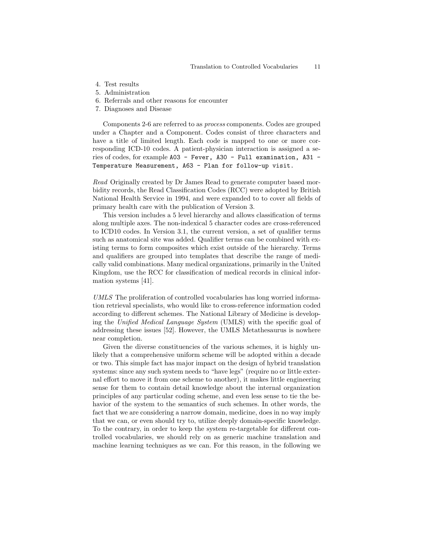- 4. Test results
- 5. Administration
- 6. Referrals and other reasons for encounter
- 7. Diagnoses and Disease

Components 2-6 are referred to as process components. Codes are grouped under a Chapter and a Component. Codes consist of three characters and have a title of limited length. Each code is mapped to one or more corresponding ICD-10 codes. A patient-physician interaction is assigned a series of codes, for example A03 - Fever, A30 - Full examination, A31 - Temperature Measurement, A63 - Plan for follow-up visit.

Read Originally created by Dr James Read to generate computer based morbidity records, the Read Classification Codes (RCC) were adopted by British National Health Service in 1994, and were expanded to to cover all fields of primary health care with the publication of Version 3.

This version includes a 5 level hierarchy and allows classification of terms along multiple axes. The non-indexical 5 character codes are cross-referenced to ICD10 codes. In Version 3.1, the current version, a set of qualifier terms such as anatomical site was added. Qualifier terms can be combined with existing terms to form composites which exist outside of the hierarchy. Terms and qualifiers are grouped into templates that describe the range of medically valid combinations. Many medical organizations, primarily in the United Kingdom, use the RCC for classification of medical records in clinical information systems [41].

UMLS The proliferation of controlled vocabularies has long worried information retrieval specialists, who would like to cross-reference information coded according to different schemes. The National Library of Medicine is developing the Unified Medical Language System (UMLS) with the specific goal of addressing these issues [52]. However, the UMLS Metathesaurus is nowhere near completion.

Given the diverse constituencies of the various schemes, it is highly unlikely that a comprehensive uniform scheme will be adopted within a decade or two. This simple fact has major impact on the design of hybrid translation systems: since any such system needs to "have legs" (require no or little external effort to move it from one scheme to another), it makes little engineering sense for them to contain detail knowledge about the internal organization principles of any particular coding scheme, and even less sense to tie the behavior of the system to the semantics of such schemes. In other words, the fact that we are considering a narrow domain, medicine, does in no way imply that we can, or even should try to, utilize deeply domain-specific knowledge. To the contrary, in order to keep the system re-targetable for different controlled vocabularies, we should rely on as generic machine translation and machine learning techniques as we can. For this reason, in the following we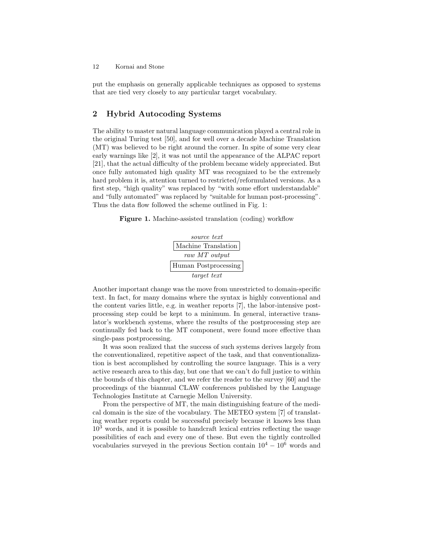put the emphasis on generally applicable techniques as opposed to systems that are tied very closely to any particular target vocabulary.

# 2 Hybrid Autocoding Systems

The ability to master natural language communication played a central role in the original Turing test [50], and for well over a decade Machine Translation (MT) was believed to be right around the corner. In spite of some very clear early warnings like [2], it was not until the appearance of the ALPAC report [21], that the actual difficulty of the problem became widely appreciated. But once fully automated high quality MT was recognized to be the extremely hard problem it is, attention turned to restricted/reformulated versions. As a first step, "high quality" was replaced by "with some effort understandable" and "fully automated" was replaced by "suitable for human post-processing". Thus the data flow followed the scheme outlined in Fig. 1:

Figure 1. Machine-assisted translation (coding) workflow



Another important change was the move from unrestricted to domain-specific text. In fact, for many domains where the syntax is highly conventional and the content varies little, e.g. in weather reports [7], the labor-intensive postprocessing step could be kept to a minimum. In general, interactive translator's workbench systems, where the results of the postprocessing step are continually fed back to the MT component, were found more effective than single-pass postprocessing.

It was soon realized that the success of such systems derives largely from the conventionalized, repetitive aspect of the task, and that conventionalization is best accomplished by controlling the source language. This is a very active research area to this day, but one that we can't do full justice to within the bounds of this chapter, and we refer the reader to the survey [60] and the proceedings of the biannual CLAW conferences published by the Language Technologies Institute at Carnegie Mellon University.

From the perspective of MT, the main distinguishing feature of the medical domain is the size of the vocabulary. The METEO system [7] of translating weather reports could be successful precisely because it knows less than  $10<sup>3</sup>$  words, and it is possible to handcraft lexical entries reflecting the usage possibilities of each and every one of these. But even the tightly controlled vocabularies surveyed in the previous Section contain  $10^4 - 10^6$  words and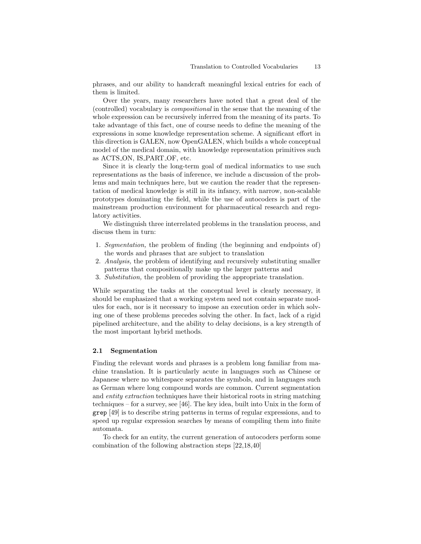phrases, and our ability to handcraft meaningful lexical entries for each of them is limited.

Over the years, many researchers have noted that a great deal of the (controlled) vocabulary is compositional in the sense that the meaning of the whole expression can be recursively inferred from the meaning of its parts. To take advantage of this fact, one of course needs to define the meaning of the expressions in some knowledge representation scheme. A significant effort in this direction is GALEN, now OpenGALEN, which builds a whole conceptual model of the medical domain, with knowledge representation primitives such as ACTS ON, IS PART OF, etc.

Since it is clearly the long-term goal of medical informatics to use such representations as the basis of inference, we include a discussion of the problems and main techniques here, but we caution the reader that the representation of medical knowledge is still in its infancy, with narrow, non-scalable prototypes dominating the field, while the use of autocoders is part of the mainstream production environment for pharmaceutical research and regulatory activities.

We distinguish three interrelated problems in the translation process, and discuss them in turn:

- 1. Segmentation, the problem of finding (the beginning and endpoints of) the words and phrases that are subject to translation
- 2. Analysis, the problem of identifying and recursively substituting smaller patterns that compositionally make up the larger patterns and
- 3. Substitution, the problem of providing the appropriate translation.

While separating the tasks at the conceptual level is clearly necessary, it should be emphasized that a working system need not contain separate modules for each, nor is it necessary to impose an execution order in which solving one of these problems precedes solving the other. In fact, lack of a rigid pipelined architecture, and the ability to delay decisions, is a key strength of the most important hybrid methods.

### 2.1 Segmentation

Finding the relevant words and phrases is a problem long familiar from machine translation. It is particularly acute in languages such as Chinese or Japanese where no whitespace separates the symbols, and in languages such as German where long compound words are common. Current segmentation and entity extraction techniques have their historical roots in string matching techniques – for a survey, see [46]. The key idea, built into Unix in the form of grep [49] is to describe string patterns in terms of regular expressions, and to speed up regular expression searches by means of compiling them into finite automata.

To check for an entity, the current generation of autocoders perform some combination of the following abstraction steps [22,18,40]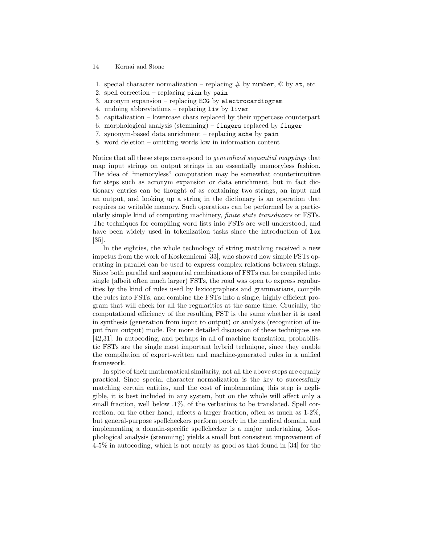- 14 Kornai and Stone
- 1. special character normalization replacing  $\#$  by number,  $\textcircled{a}$  by at, etc
- 2. spell correction replacing pian by pain
- 3. acronym expansion replacing ECG by electrocardiogram
- 4. undoing abbreviations replacing liv by liver
- 5. capitalization lowercase chars replaced by their uppercase counterpart
- 6. morphological analysis (stemming) fingers replaced by finger
- 7. synonym-based data enrichment replacing ache by pain
- 8. word deletion omitting words low in information content

Notice that all these steps correspond to generalized sequential mappings that map input strings on output strings in an essentially memoryless fashion. The idea of "memoryless" computation may be somewhat counterintuitive for steps such as acronym expansion or data enrichment, but in fact dictionary entries can be thought of as containing two strings, an input and an output, and looking up a string in the dictionary is an operation that requires no writable memory. Such operations can be performed by a particularly simple kind of computing machinery, finite state transducers or FSTs. The techniques for compiling word lists into FSTs are well understood, and have been widely used in tokenization tasks since the introduction of lex [35].

In the eighties, the whole technology of string matching received a new impetus from the work of Koskenniemi [33], who showed how simple FSTs operating in parallel can be used to express complex relations between strings. Since both parallel and sequential combinations of FSTs can be compiled into single (albeit often much larger) FSTs, the road was open to express regularities by the kind of rules used by lexicographers and grammarians, compile the rules into FSTs, and combine the FSTs into a single, highly efficient program that will check for all the regularities at the same time. Crucially, the computational efficiency of the resulting FST is the same whether it is used in synthesis (generation from input to output) or analysis (recognition of input from output) mode. For more detailed discussion of these techniques see [42,31]. In autocoding, and perhaps in all of machine translation, probabilistic FSTs are the single most important hybrid technique, since they enable the compilation of expert-written and machine-generated rules in a unified framework.

In spite of their mathematical similarity, not all the above steps are equally practical. Since special character normalization is the key to successfully matching certain entities, and the cost of implementing this step is negligible, it is best included in any system, but on the whole will affect only a small fraction, well below .1%, of the verbatims to be translated. Spell correction, on the other hand, affects a larger fraction, often as much as 1-2%, but general-purpose spellcheckers perform poorly in the medical domain, and implementing a domain-specific spellchecker is a major undertaking. Morphological analysis (stemming) yields a small but consistent improvement of 4-5% in autocoding, which is not nearly as good as that found in [34] for the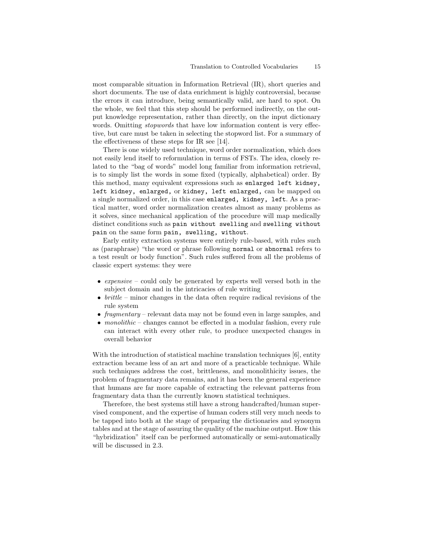most comparable situation in Information Retrieval (IR), short queries and short documents. The use of data enrichment is highly controversial, because the errors it can introduce, being semantically valid, are hard to spot. On the whole, we feel that this step should be performed indirectly, on the output knowledge representation, rather than directly, on the input dictionary words. Omitting *stopwords* that have low information content is very effective, but care must be taken in selecting the stopword list. For a summary of the effectiveness of these steps for IR see [14].

There is one widely used technique, word order normalization, which does not easily lend itself to reformulation in terms of FSTs. The idea, closely related to the "bag of words" model long familiar from information retrieval, is to simply list the words in some fixed (typically, alphabetical) order. By this method, many equivalent expressions such as enlarged left kidney, left kidney, enlarged, or kidney, left enlarged, can be mapped on a single normalized order, in this case enlarged, kidney, left. As a practical matter, word order normalization creates almost as many problems as it solves, since mechanical application of the procedure will map medically distinct conditions such as pain without swelling and swelling without pain on the same form pain, swelling, without.

Early entity extraction systems were entirely rule-based, with rules such as (paraphrase) "the word or phrase following normal or abnormal refers to a test result or body function". Such rules suffered from all the problems of classic expert systems: they were

- expensive could only be generated by experts well versed both in the subject domain and in the intricacies of rule writing
- $britile$  minor changes in the data often require radical revisions of the rule system
- fragmentary relevant data may not be found even in large samples, and
- monolithic changes cannot be effected in a modular fashion, every rule can interact with every other rule, to produce unexpected changes in overall behavior

With the introduction of statistical machine translation techniques [6], entity extraction became less of an art and more of a practicable technique. While such techniques address the cost, brittleness, and monolithicity issues, the problem of fragmentary data remains, and it has been the general experience that humans are far more capable of extracting the relevant patterns from fragmentary data than the currently known statistical techniques.

Therefore, the best systems still have a strong handcrafted/human supervised component, and the expertise of human coders still very much needs to be tapped into both at the stage of preparing the dictionaries and synonym tables and at the stage of assuring the quality of the machine output. How this "hybridization" itself can be performed automatically or semi-automatically will be discussed in 2.3.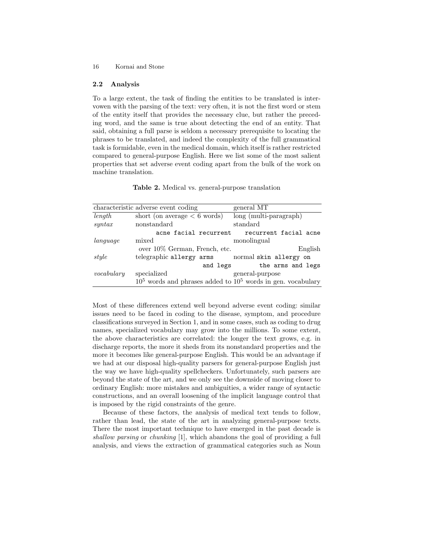### 2.2 Analysis

To a large extent, the task of finding the entities to be translated is intervowen with the parsing of the text: very often, it is not the first word or stem of the entity itself that provides the necessary clue, but rather the preceding word, and the same is true about detecting the end of an entity. That said, obtaining a full parse is seldom a necessary prerequisite to locating the phrases to be translated, and indeed the complexity of the full grammatical task is formidable, even in the medical domain, which itself is rather restricted compared to general-purpose English. Here we list some of the most salient properties that set adverse event coding apart from the bulk of the work on machine translation.

Table 2. Medical vs. general-purpose translation

|            | characteristic adverse event coding                             | general MT               |
|------------|-----------------------------------------------------------------|--------------------------|
| length     | short (on average $< 6$ words)                                  | $long$ (multi-paragraph) |
| s          | nonstandard                                                     | standard                 |
|            | acne facial recurrent                                           | recurrent facial acne    |
| language   | mixed                                                           | monolingual              |
|            | over 10% German, French, etc.                                   | English                  |
| style      | telegraphic allergy arms                                        | normal skin allergy on   |
|            | and legs                                                        | the arms and legs        |
| vocabulary | specialized                                                     | general-purpose          |
|            | $105$ words and phrases added to $105$ words in gen. vocabulary |                          |

Most of these differences extend well beyond adverse event coding: similar issues need to be faced in coding to the disease, symptom, and procedure classifications surveyed in Section 1, and in some cases, such as coding to drug names, specialized vocabulary may grow into the millions. To some extent, the above characteristics are correlated: the longer the text grows, e.g. in discharge reports, the more it sheds from its nonstandard properties and the more it becomes like general-purpose English. This would be an advantage if we had at our disposal high-quality parsers for general-purpose English just the way we have high-quality spellcheckers. Unfortunately, such parsers are beyond the state of the art, and we only see the downside of moving closer to ordinary English: more mistakes and ambiguities, a wider range of syntactic constructions, and an overall loosening of the implicit language control that is imposed by the rigid constraints of the genre.

Because of these factors, the analysis of medical text tends to follow, rather than lead, the state of the art in analyzing general-purpose texts. There the most important technique to have emerged in the past decade is shallow parsing or chunking [1], which abandons the goal of providing a full analysis, and views the extraction of grammatical categories such as Noun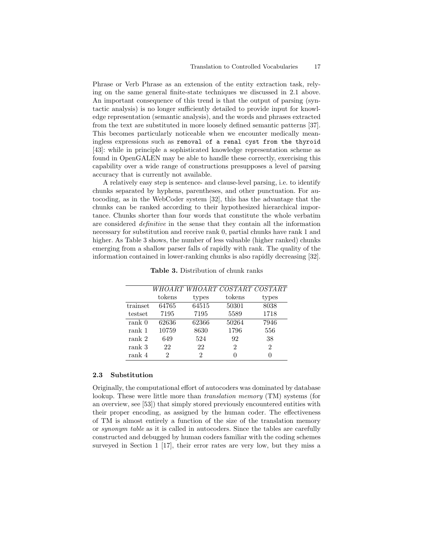Phrase or Verb Phrase as an extension of the entity extraction task, relying on the same general finite-state techniques we discussed in 2.1 above. An important consequence of this trend is that the output of parsing (syntactic analysis) is no longer sufficiently detailed to provide input for knowledge representation (semantic analysis), and the words and phrases extracted from the text are substituted in more loosely defined semantic patterns [37]. This becomes particularly noticeable when we encounter medically meaningless expressions such as removal of a renal cyst from the thyroid [43]: while in principle a sophisticated knowledge representation scheme as found in OpenGALEN may be able to handle these correctly, exercising this capability over a wide range of constructions presupposes a level of parsing accuracy that is currently not available.

A relatively easy step is sentence- and clause-level parsing, i.e. to identify chunks separated by hyphens, parentheses, and other punctuation. For autocoding, as in the WebCoder system [32], this has the advantage that the chunks can be ranked according to their hypothesized hierarchical importance. Chunks shorter than four words that constitute the whole verbatim are considered definitive in the sense that they contain all the information necessary for substitution and receive rank 0, partial chunks have rank 1 and higher. As Table 3 shows, the number of less valuable (higher ranked) chunks emerging from a shallow parser falls of rapidly with rank. The quality of the information contained in lower-ranking chunks is also rapidly decreasing [32].

|                   |        |       | WHOART WHOART COSTART COSTART |       |
|-------------------|--------|-------|-------------------------------|-------|
|                   | tokens | types | tokens                        | types |
| trainset          | 64765  | 64515 | 50301                         | 8038  |
| testset           | 7195   | 7195  | 5589                          | 1718  |
| rank <sub>0</sub> | 62636  | 62366 | 50264                         | 7946  |
| rank 1            | 10759  | 8630  | 1796                          | 556   |
| rank 2            | 649    | 524   | 92                            | 38    |
| rank 3            | 22     | 22    | 2                             | 2     |
| rank 4            | 2      | 2     |                               |       |

Table 3. Distribution of chunk ranks

#### 2.3 Substitution

Originally, the computational effort of autocoders was dominated by database lookup. These were little more than *translation memory* (TM) systems (for an overview, see [53]) that simply stored previously encountered entities with their proper encoding, as assigned by the human coder. The effectiveness of TM is almost entirely a function of the size of the translation memory or synonym table as it is called in autocoders. Since the tables are carefully constructed and debugged by human coders familiar with the coding schemes surveyed in Section 1 [17], their error rates are very low, but they miss a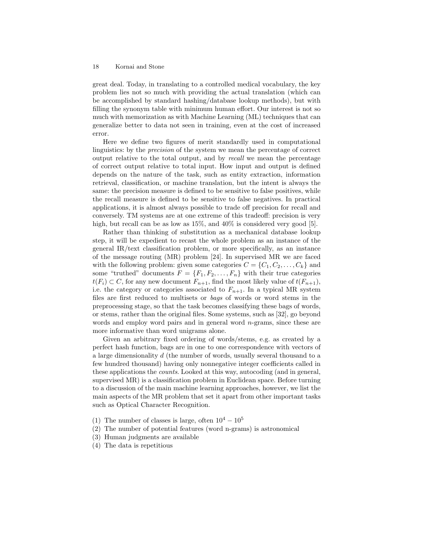great deal. Today, in translating to a controlled medical vocabulary, the key problem lies not so much with providing the actual translation (which can be accomplished by standard hashing/database lookup methods), but with filling the synonym table with minimum human effort. Our interest is not so much with memorization as with Machine Learning (ML) techniques that can generalize better to data not seen in training, even at the cost of increased error.

Here we define two figures of merit standardly used in computational linguistics: by the precision of the system we mean the percentage of correct output relative to the total output, and by recall we mean the percentage of correct output relative to total input. How input and output is defined depends on the nature of the task, such as entity extraction, information retrieval, classification, or machine translation, but the intent is always the same: the precision measure is defined to be sensitive to false positives, while the recall measure is defined to be sensitive to false negatives. In practical applications, it is almost always possible to trade off precision for recall and conversely. TM systems are at one extreme of this tradeoff: precision is very high, but recall can be as low as  $15\%$ , and  $40\%$  is considered very good [5].

Rather than thinking of substitution as a mechanical database lookup step, it will be expedient to recast the whole problem as an instance of the general IR/text classification problem, or more specifically, as an instance of the message routing (MR) problem [24]. In supervised MR we are faced with the following problem: given some categories  $C = \{C_1, C_2, \ldots, C_k\}$  and some "truthed" documents  $F = \{F_1, F_2, \ldots, F_n\}$  with their true categories  $t(F_i) \subset C$ , for any new document  $F_{n+1}$ , find the most likely value of  $t(F_{n+1})$ , i.e. the category or categories associated to  $F_{n+1}$ . In a typical MR system files are first reduced to multisets or bags of words or word stems in the preprocessing stage, so that the task becomes classifying these bags of words, or stems, rather than the original files. Some systems, such as [32], go beyond words and employ word pairs and in general word  $n$ -grams, since these are more informative than word unigrams alone.

Given an arbitrary fixed ordering of words/stems, e.g. as created by a perfect hash function, bags are in one to one correspondence with vectors of a large dimensionality d (the number of words, usually several thousand to a few hundred thousand) having only nonnegative integer coefficients called in these applications the counts. Looked at this way, autocoding (and in general, supervised MR) is a classification problem in Euclidean space. Before turning to a discussion of the main machine learning approaches, however, we list the main aspects of the MR problem that set it apart from other important tasks such as Optical Character Recognition.

- (1) The number of classes is large, often  $10^4 10^5$
- (2) The number of potential features (word n-grams) is astronomical
- (3) Human judgments are available
- (4) The data is repetitious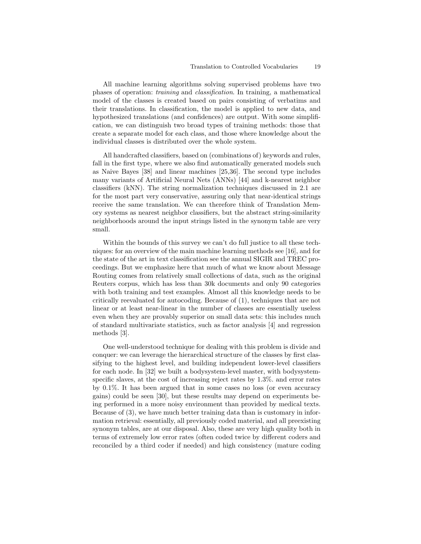All machine learning algorithms solving supervised problems have two phases of operation: training and classification. In training, a mathematical model of the classes is created based on pairs consisting of verbatims and their translations. In classification, the model is applied to new data, and hypothesized translations (and confidences) are output. With some simplification, we can distinguish two broad types of training methods: those that create a separate model for each class, and those where knowledge about the individual classes is distributed over the whole system.

All handcrafted classifiers, based on (combinations of) keywords and rules, fall in the first type, where we also find automatically generated models such as Naive Bayes [38] and linear machines [25,36]. The second type includes many variants of Artificial Neural Nets (ANNs) [44] and k-nearest neighbor classifiers (kNN). The string normalization techniques discussed in 2.1 are for the most part very conservative, assuring only that near-identical strings receive the same translation. We can therefore think of Translation Memory systems as nearest neighbor classifiers, but the abstract string-similarity neighborhoods around the input strings listed in the synonym table are very small.

Within the bounds of this survey we can't do full justice to all these techniques: for an overview of the main machine learning methods see [16], and for the state of the art in text classification see the annual SIGIR and TREC proceedings. But we emphasize here that much of what we know about Message Routing comes from relatively small collections of data, such as the original Reuters corpus, which has less than 30k documents and only 90 categories with both training and test examples. Almost all this knowledge needs to be critically reevaluated for autocoding. Because of (1), techniques that are not linear or at least near-linear in the number of classes are essentially useless even when they are provably superior on small data sets: this includes much of standard multivariate statistics, such as factor analysis [4] and regression methods [3].

One well-understood technique for dealing with this problem is divide and conquer: we can leverage the hierarchical structure of the classes by first classifying to the highest level, and building independent lower-level classifiers for each node. In [32] we built a bodysystem-level master, with bodysystemspecific slaves, at the cost of increasing reject rates by 1.3%. and error rates by 0.1%. It has been argued that in some cases no loss (or even accuracy gains) could be seen [30], but these results may depend on experiments being performed in a more noisy environment than provided by medical texts. Because of (3), we have much better training data than is customary in information retrieval: essentially, all previously coded material, and all preexisting synonym tables, are at our disposal. Also, these are very high quality both in terms of extremely low error rates (often coded twice by different coders and reconciled by a third coder if needed) and high consistency (mature coding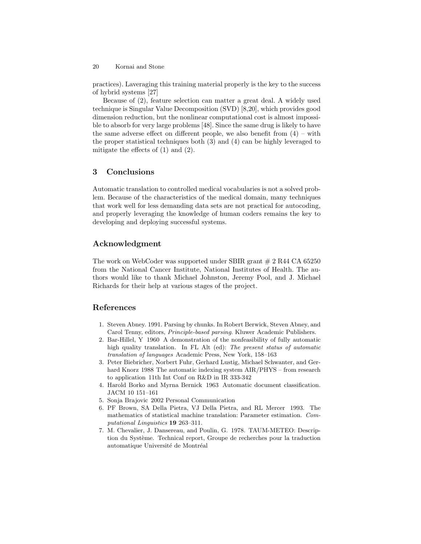practices). Laveraging this training material properly is the key to the success of hybrid systems [27]

Because of (2), feature selection can matter a great deal. A widely used technique is Singular Value Decomposition (SVD) [8,20], which provides good dimension reduction, but the nonlinear computational cost is almost impossible to absorb for very large problems [48]. Since the same drug is likely to have the same adverse effect on different people, we also benefit from  $(4)$  – with the proper statistical techniques both (3) and (4) can be highly leveraged to mitigate the effects of (1) and (2).

# 3 Conclusions

Automatic translation to controlled medical vocabularies is not a solved problem. Because of the characteristics of the medical domain, many techniques that work well for less demanding data sets are not practical for autocoding, and properly leveraging the knowledge of human coders remains the key to developing and deploying successful systems.

# Acknowledgment

The work on WebCoder was supported under SBIR grant  $\# 2$  R44 CA 65250 from the National Cancer Institute, National Institutes of Health. The authors would like to thank Michael Johnston, Jeremy Pool, and J. Michael Richards for their help at various stages of the project.

# References

- 1. Steven Abney. 1991. Parsing by chunks. In Robert Berwick, Steven Abney, and Carol Tenny, editors, Principle-based parsing. Kluwer Academic Publishers.
- 2. Bar-Hillel, Y 1960 A demonstration of the nonfeasibility of fully automatic high quality translation. In FL Alt (ed): The present status of automatic translation of languages Academic Press, New York, 158–163
- 3. Peter Biebricher, Norbert Fuhr, Gerhard Lustig, Michael Schwanter, and Gerhard Knorz 1988 The automatic indexing system AIR/PHYS – from research to application 11th Int Conf on R&D in IR 333-342
- 4. Harold Borko and Myrna Bernick 1963 Automatic document classification. JACM 10 151–161
- 5. Sonja Brajovic 2002 Personal Communication
- 6. PF Brown, SA Della Pietra, VJ Della Pietra, and RL Mercer 1993. The mathematics of statistical machine translation: Parameter estimation. Computational Linguistics 19 263–311.
- 7. M. Chevalier, J. Dansereau, and Poulin, G. 1978. TAUM-METEO: Description du Système. Technical report, Groupe de recherches pour la traduction automatique Université de Montréal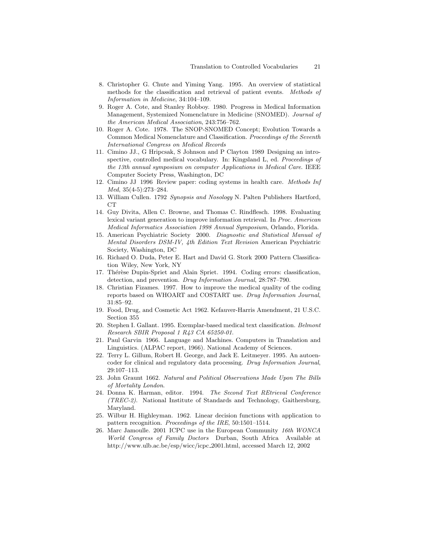- 8. Christopher G. Chute and Yiming Yang. 1995. An overview of statistical methods for the classification and retrieval of patient events. Methods of Information in Medicine, 34:104–109.
- 9. Roger A. Cote, and Stanley Robboy. 1980. Progress in Medical Information Management, Systemized Nomenclature in Medicine (SNOMED). Journal of the American Medical Association, 243:756–762.
- 10. Roger A. Cote. 1978. The SNOP-SNOMED Concept; Evolution Towards a Common Medical Nomenclature and Classification. Proceedings of the Seventh International Congress on Medical Records
- 11. Cimino JJ., G Hripcsak, S Johnson and P Clayton 1989 Designing an introspective, controlled medical vocabulary. In: Kingsland L, ed. *Proceedings of* the 13th annual symposium on computer Applications in Medical Care. IEEE Computer Society Press, Washington, DC
- 12. Cimino JJ 1996 Review paper: coding systems in health care. Methods Inf Med, 35(4-5):273–284.
- 13. William Cullen. 1792 Synopsis and Nosology N. Palten Publishers Hartford,  $CT$
- 14. Guy Divita, Allen C. Browne, and Thomas C. Rindflesch. 1998. Evaluating lexical variant generation to improve information retrieval. In Proc. American Medical Informatics Association 1998 Annual Symposium, Orlando, Florida.
- 15. American Psychiatric Society 2000. Diagnostic and Statistical Manual of Mental Disorders DSM-IV, 4th Edition Text Revision American Psychiatric Society, Washington, DC
- 16. Richard O. Duda, Peter E. Hart and David G. Stork 2000 Pattern Classification Wiley, New York, NY
- 17. Thérèse Dupin-Spriet and Alain Spriet. 1994. Coding errors: classification, detection, and prevention. Drug Information Journal, 28:787–790.
- 18. Christian Fizames. 1997. How to improve the medical quality of the coding reports based on WHOART and COSTART use. Drug Information Journal, 31:85–92.
- 19. Food, Drug, and Cosmetic Act 1962. Kefauver-Harris Amendment, 21 U.S.C. Section 355
- 20. Stephen I. Gallant. 1995. Exemplar-based medical text classification. Belmont Research SBIR Proposal 1 R43 CA 65250-01.
- 21. Paul Garvin 1966. Language and Machines. Computers in Translation and Linguistics. (ALPAC report, 1966). National Academy of Sciences.
- 22. Terry L. Gillum, Robert H. George, and Jack E. Leitmeyer. 1995. An autoencoder for clinical and regulatory data processing. Drug Information Journal, 29:107–113.
- 23. John Graunt 1662. Natural and Political Observations Made Upon The Bills of Mortality London.
- 24. Donna K. Harman, editor. 1994. The Second Text REtrieval Conference (TREC-2). National Institute of Standards and Technology, Gaithersburg, Maryland.
- 25. Wilbur H. Highleyman. 1962. Linear decision functions with application to pattern recognition. Proceedings of the IRE, 50:1501–1514.
- 26. Marc Jamoulle. 2001 ICPC use in the European Community 16th WONCA World Congress of Family Doctors Durban, South Africa Available at http://www.ulb.ac.be/esp/wicc/icpc 2001.html, accessed March 12, 2002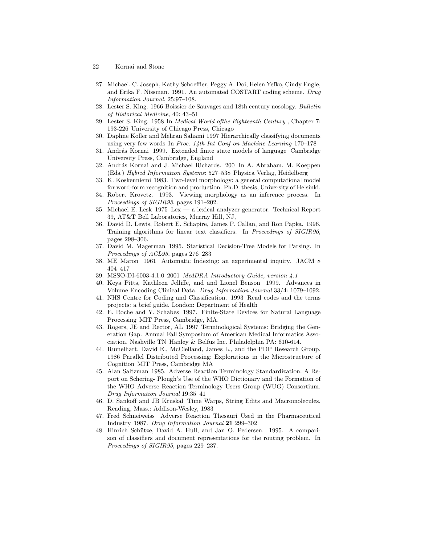- 22 Kornai and Stone
- 27. Michael. C. Joseph, Kathy Schoeffler, Peggy A. Doi, Helen Yefko, Cindy Engle, and Erika F. Nissman. 1991. An automated COSTART coding scheme. Drug Information Journal, 25:97–108.
- 28. Lester S. King. 1966 Boissier de Sauvages and 18th century nosology. Bulletin of Historical Medicine, 40: 43–51
- 29. Lester S. King. 1958 In Medical World ofthe Eighteenth Century , Chapter 7: 193-226 University of Chicago Press, Chicago
- 30. Daphne Koller and Mehran Sahami 1997 Hierarchically classifying documents using very few words In Proc.  $11$ th Int Conf on Machine Learning 170–178
- 31. András Kornai 1999. Extended finite state models of language Cambridge University Press, Cambridge, England
- 32. András Kornai and J. Michael Richards. 200 In A. Abraham, M. Koeppen (Eds.) Hybrid Information Systems: 527–538 Physica Verlag, Heidelberg
- 33. K. Koskenniemi 1983. Two-level morphology: a general computational model for word-form recognition and production. Ph.D. thesis, University of Helsinki.
- 34. Robert Krovetz. 1993. Viewing morphology as an inference process. In Proceedings of SIGIR93, pages 191–202.
- 35. Michael E. Lesk 1975 Lex a lexical analyzer generator. Technical Report 39, AT&T Bell Laboratories, Murray Hill, NJ,
- 36. David D. Lewis, Robert E. Schapire, James P. Callan, and Ron Papka. 1996. Training algorithms for linear text classifiers. In Proceedings of SIGIR96, pages 298–306.
- 37. David M. Magerman 1995. Statistical Decision-Tree Models for Parsing. In Proceedings of ACL95, pages 276–283
- 38. ME Maron 1961 Automatic Indexing: an experimental inquiry. JACM 8 404–417
- 39. MSSO-DI-6003-4.1.0 2001 MedDRA Introductory Guide, version 4.1
- 40. Keya Pitts, Kathleen Jelliffe, and and Lionel Benson 1999. Advances in Volume Encoding Clinical Data. Drug Information Journal 33/4: 1079–1092.
- 41. NHS Centre for Coding and Classification. 1993 Read codes and the terms projects: a brief guide. London: Department of Health
- 42. E. Roche and Y. Schabes 1997. Finite-State Devices for Natural Language Processing MIT Press, Cambridge, MA.
- 43. Rogers, JE and Rector, AL 1997 Terminological Systems: Bridging the Generation Gap. Annual Fall Symposium of American Medical Informatics Association. Nashville TN Hanley & Belfus Inc. Philadelphia PA: 610-614.
- 44. Rumelhart, David E., McClelland, James L., and the PDP Research Group. 1986 Parallel Distributed Processing: Explorations in the Microstructure of Cognition MIT Press, Cambridge MA
- 45. Alan Saltzman 1985. Adverse Reaction Terminology Standardization: A Report on Schering- Plough's Use of the WHO Dictionary and the Formation of the WHO Adverse Reaction Terminology Users Group (WUG) Consortium. Drug Information Journal 19:35–41
- 46. D. Sankoff and JB Kruskal Time Warps, String Edits and Macromolecules. Reading, Mass.: Addison-Wesley, 1983
- 47. Fred Schneiweiss Adverse Reaction Thesauri Used in the Pharmaceutical Industry 1987. Drug Information Journal 21 299–302
- 48. Hinrich Schütze, David A. Hull, and Jan O. Pedersen. 1995. A comparison of classifiers and document representations for the routing problem. In Proceedings of SIGIR95, pages 229–237.